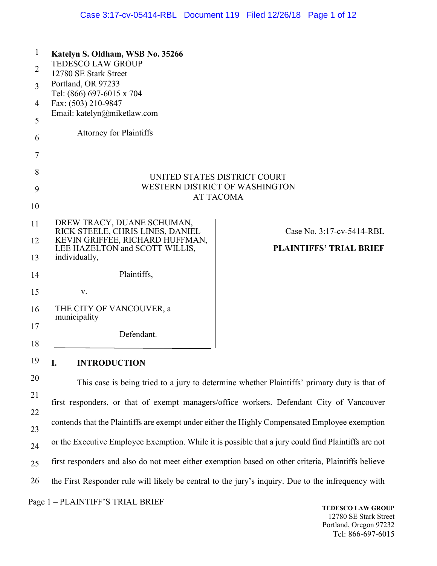| <b>TEDESCO LAW GROUP</b><br>12780 SE Stark Street<br>Portland, OR 97233<br>Tel: (866) 697-6015 x 704<br>Fax: (503) 210-9847<br>Email: katelyn@miketlaw.com<br><b>Attorney for Plaintiffs</b> |                                                                                                 |  |  |
|----------------------------------------------------------------------------------------------------------------------------------------------------------------------------------------------|-------------------------------------------------------------------------------------------------|--|--|
|                                                                                                                                                                                              |                                                                                                 |  |  |
|                                                                                                                                                                                              |                                                                                                 |  |  |
|                                                                                                                                                                                              |                                                                                                 |  |  |
|                                                                                                                                                                                              |                                                                                                 |  |  |
|                                                                                                                                                                                              |                                                                                                 |  |  |
|                                                                                                                                                                                              |                                                                                                 |  |  |
|                                                                                                                                                                                              |                                                                                                 |  |  |
| UNITED STATES DISTRICT COURT<br>WESTERN DISTRICT OF WASHINGTON<br><b>AT TACOMA</b>                                                                                                           |                                                                                                 |  |  |
|                                                                                                                                                                                              |                                                                                                 |  |  |
| DREW TRACY, DUANE SCHUMAN,                                                                                                                                                                   | Case No. 3:17-cv-5414-RBL                                                                       |  |  |
| KEVIN GRIFFEE, RICHARD HUFFMAN,                                                                                                                                                              |                                                                                                 |  |  |
| individually,                                                                                                                                                                                | <b>PLAINTIFFS' TRIAL BRIEF</b>                                                                  |  |  |
| Plaintiffs,                                                                                                                                                                                  |                                                                                                 |  |  |
| V.                                                                                                                                                                                           |                                                                                                 |  |  |
| THE CITY OF VANCOUVER, a<br>municipality                                                                                                                                                     |                                                                                                 |  |  |
| Defendant.                                                                                                                                                                                   |                                                                                                 |  |  |
|                                                                                                                                                                                              | RICK STEELE, CHRIS LINES, DANIEL<br>LEE HAZELTON and SCOTT WILLIS,<br><b>INTRODUCTION</b><br>I. |  |  |

20 21 22 23 24 25 26 Page 1 – PLAINTIFF'S TRIAL BRIEF This case is being tried to a jury to determine whether Plaintiffs' primary duty is that of first responders, or that of exempt managers/office workers. Defendant City of Vancouver contends that the Plaintiffs are exempt under either the Highly Compensated Employee exemption or the Executive Employee Exemption. While it is possible that a jury could find Plaintiffs are not first responders and also do not meet either exemption based on other criteria, Plaintiffs believe the First Responder rule will likely be central to the jury's inquiry. Due to the infrequency with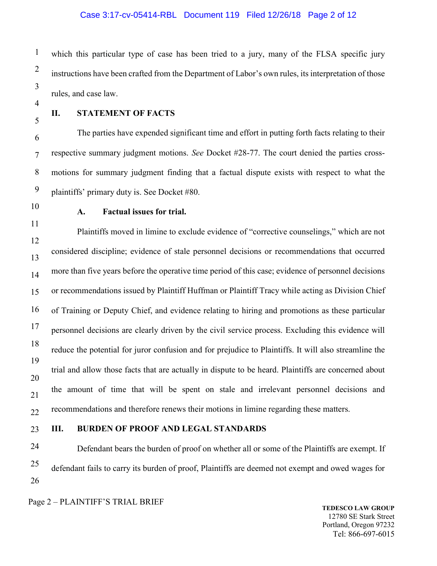# Case 3:17-cv-05414-RBL Document 119 Filed 12/26/18 Page 2 of 12

1 2 3 which this particular type of case has been tried to a jury, many of the FLSA specific jury instructions have been crafted from the Department of Labor's own rules, its interpretation of those rules, and case law.

4 5

#### **II. STATEMENT OF FACTS**

6 7 8 9 The parties have expended significant time and effort in putting forth facts relating to their respective summary judgment motions. *See* Docket #28-77. The court denied the parties crossmotions for summary judgment finding that a factual dispute exists with respect to what the plaintiffs' primary duty is. See Docket #80.

10

11

## **A. Factual issues for trial.**

12 13 14 15 16 17 18 19 20 21 22 Plaintiffs moved in limine to exclude evidence of "corrective counselings," which are not considered discipline; evidence of stale personnel decisions or recommendations that occurred more than five years before the operative time period of this case; evidence of personnel decisions or recommendations issued by Plaintiff Huffman or Plaintiff Tracy while acting as Division Chief of Training or Deputy Chief, and evidence relating to hiring and promotions as these particular personnel decisions are clearly driven by the civil service process. Excluding this evidence will reduce the potential for juror confusion and for prejudice to Plaintiffs. It will also streamline the trial and allow those facts that are actually in dispute to be heard. Plaintiffs are concerned about the amount of time that will be spent on stale and irrelevant personnel decisions and recommendations and therefore renews their motions in limine regarding these matters.

23

#### **III. BURDEN OF PROOF AND LEGAL STANDARDS**

24 25 26 Defendant bears the burden of proof on whether all or some of the Plaintiffs are exempt. If defendant fails to carry its burden of proof, Plaintiffs are deemed not exempt and owed wages for

Page 2 – PLAINTIFF'S TRIAL BRIEF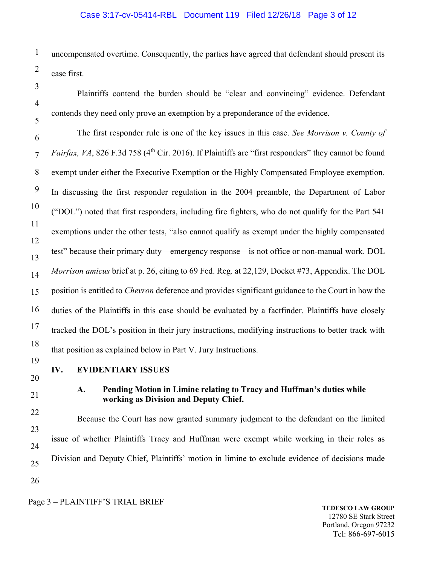# Case 3:17-cv-05414-RBL Document 119 Filed 12/26/18 Page 3 of 12

1 2 uncompensated overtime. Consequently, the parties have agreed that defendant should present its case first.

 Plaintiffs contend the burden should be "clear and convincing" evidence. Defendant contends they need only prove an exemption by a preponderance of the evidence.

6 7 8 9 10 11 12 13 14 15 16 17 18 The first responder rule is one of the key issues in this case. *See Morrison v. County of Fairfax, VA*, 826 F.3d 758 (4<sup>th</sup> Cir. 2016). If Plaintiffs are "first responders" they cannot be found exempt under either the Executive Exemption or the Highly Compensated Employee exemption. In discussing the first responder regulation in the 2004 preamble, the Department of Labor ("DOL") noted that first responders, including fire fighters, who do not qualify for the Part 541 exemptions under the other tests, "also cannot qualify as exempt under the highly compensated test" because their primary duty—emergency response—is not office or non-manual work. DOL *Morrison amicus* brief at p. 26, citing to 69 Fed. Reg. at 22,129, Docket #73, Appendix. The DOL position is entitled to *Chevron* deference and provides significant guidance to the Court in how the duties of the Plaintiffs in this case should be evaluated by a factfinder. Plaintiffs have closely tracked the DOL's position in their jury instructions, modifying instructions to better track with that position as explained below in Part V. Jury Instructions.

19

3

4

5

## **IV. EVIDENTIARY ISSUES**

20

21

## **A. Pending Motion in Limine relating to Tracy and Huffman's duties while working as Division and Deputy Chief.**

22 23 24 25 26 Because the Court has now granted summary judgment to the defendant on the limited issue of whether Plaintiffs Tracy and Huffman were exempt while working in their roles as Division and Deputy Chief, Plaintiffs' motion in limine to exclude evidence of decisions made

Page 3 – PLAINTIFF'S TRIAL BRIEF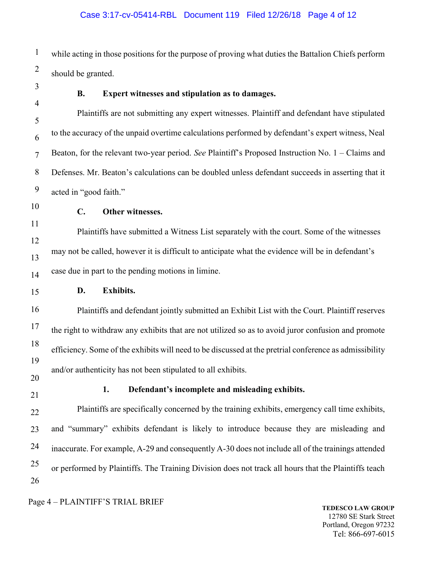1 2 while acting in those positions for the purpose of proving what duties the Battalion Chiefs perform should be granted.

3 4

#### **B. Expert witnesses and stipulation as to damages.**

5 6 7 8 9 Plaintiffs are not submitting any expert witnesses. Plaintiff and defendant have stipulated to the accuracy of the unpaid overtime calculations performed by defendant's expert witness, Neal Beaton, for the relevant two-year period. *See* Plaintiff's Proposed Instruction No. 1 – Claims and Defenses. Mr. Beaton's calculations can be doubled unless defendant succeeds in asserting that it acted in "good faith."

10

11

## **C. Other witnesses.**

12 13 14 Plaintiffs have submitted a Witness List separately with the court. Some of the witnesses may not be called, however it is difficult to anticipate what the evidence will be in defendant's case due in part to the pending motions in limine.

15

## **D. Exhibits.**

16 17 18 19 20 Plaintiffs and defendant jointly submitted an Exhibit List with the Court. Plaintiff reserves the right to withdraw any exhibits that are not utilized so as to avoid juror confusion and promote efficiency. Some of the exhibits will need to be discussed at the pretrial conference as admissibility and/or authenticity has not been stipulated to all exhibits.

21

## **1. Defendant's incomplete and misleading exhibits.**

22 23 24 25 26 Plaintiffs are specifically concerned by the training exhibits, emergency call time exhibits, and "summary" exhibits defendant is likely to introduce because they are misleading and inaccurate. For example, A-29 and consequently A-30 does not include all of the trainings attended or performed by Plaintiffs. The Training Division does not track all hours that the Plaintiffs teach

Page 4 – PLAINTIFF'S TRIAL BRIEF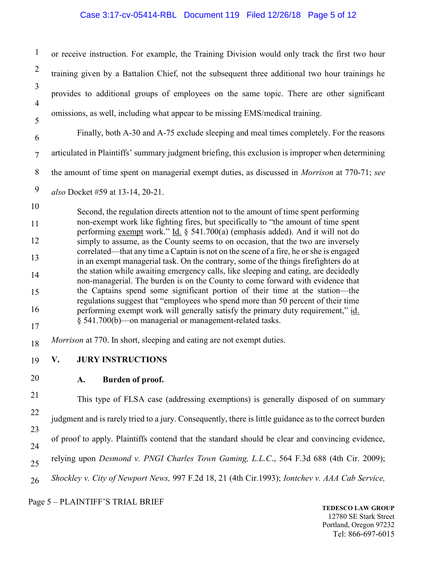# Case 3:17-cv-05414-RBL Document 119 Filed 12/26/18 Page 5 of 12

| $\mathbf{1}$             | or receive instruction. For example, the Training Division would only track the first two hour                                                                                 |  |  |
|--------------------------|--------------------------------------------------------------------------------------------------------------------------------------------------------------------------------|--|--|
| $\overline{2}$           | training given by a Battalion Chief, not the subsequent three additional two hour trainings he                                                                                 |  |  |
| 3                        | provides to additional groups of employees on the same topic. There are other significant                                                                                      |  |  |
| $\overline{\mathcal{A}}$ | omissions, as well, including what appear to be missing EMS/medical training.                                                                                                  |  |  |
| 5<br>6                   | Finally, both A-30 and A-75 exclude sleeping and meal times completely. For the reasons                                                                                        |  |  |
| $\overline{7}$           | articulated in Plaintiffs' summary judgment briefing, this exclusion is improper when determining                                                                              |  |  |
| $8\,$                    | the amount of time spent on managerial exempt duties, as discussed in <i>Morrison</i> at 770-71; see                                                                           |  |  |
| $\boldsymbol{9}$         | also Docket #59 at 13-14, 20-21.                                                                                                                                               |  |  |
| 10                       | Second, the regulation directs attention not to the amount of time spent performing                                                                                            |  |  |
| 11                       | non-exempt work like fighting fires, but specifically to "the amount of time spent<br>performing exempt work." Id. § 541.700(a) (emphasis added). And it will not do           |  |  |
| 12                       | simply to assume, as the County seems to on occasion, that the two are inversely                                                                                               |  |  |
| 13                       | correlated—that any time a Captain is not on the scene of a fire, he or she is engaged<br>in an exempt managerial task. On the contrary, some of the things firefighters do at |  |  |
| 14                       | the station while awaiting emergency calls, like sleeping and eating, are decidedly<br>non-managerial. The burden is on the County to come forward with evidence that          |  |  |
| 15                       | the Captains spend some significant portion of their time at the station-the<br>regulations suggest that "employees who spend more than 50 percent of their time               |  |  |
| 16                       | performing exempt work will generally satisfy the primary duty requirement," id.<br>§ 541.700(b)—on managerial or management-related tasks.                                    |  |  |
| 17<br>18                 | Morrison at 770. In short, sleeping and eating are not exempt duties.                                                                                                          |  |  |
| 19                       | <b>JURY INSTRUCTIONS</b><br>V.                                                                                                                                                 |  |  |
| 20                       | Burden of proof.<br>A.                                                                                                                                                         |  |  |
| 21                       | This type of FLSA case (addressing exemptions) is generally disposed of on summary                                                                                             |  |  |
| 22                       |                                                                                                                                                                                |  |  |
| 23                       | judgment and is rarely tried to a jury. Consequently, there is little guidance as to the correct burden                                                                        |  |  |
| 24                       | of proof to apply. Plaintiffs contend that the standard should be clear and convincing evidence,                                                                               |  |  |
| 25                       | relying upon Desmond v. PNGI Charles Town Gaming, L.L.C., 564 F.3d 688 (4th Cir. 2009);                                                                                        |  |  |
| 26                       | Shockley v. City of Newport News, 997 F.2d 18, 21 (4th Cir.1993); Iontchev v. AAA Cab Service,                                                                                 |  |  |
|                          | Page 5 - PLAINTIFF'S TRIAL BRIEF<br>EDECCO I AW CDOI                                                                                                                           |  |  |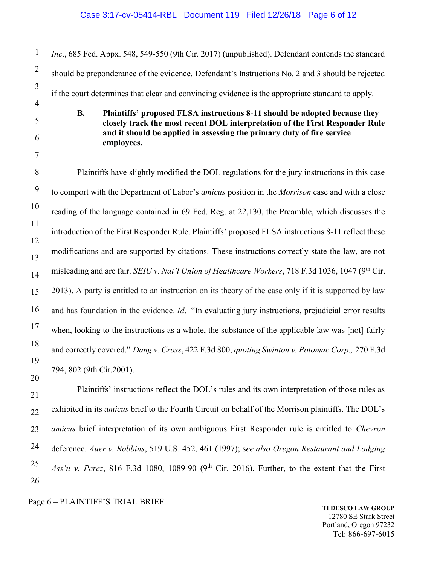# Case 3:17-cv-05414-RBL Document 119 Filed 12/26/18 Page 6 of 12

| $\mathbf{1}$   | Inc., 685 Fed. Appx. 548, 549-550 (9th Cir. 2017) (unpublished). Defendant contends the standard                                                       |
|----------------|--------------------------------------------------------------------------------------------------------------------------------------------------------|
| $\overline{2}$ | should be preponderance of the evidence. Defendant's Instructions No. 2 and 3 should be rejected                                                       |
| 3              | if the court determines that clear and convincing evidence is the appropriate standard to apply.                                                       |
| $\overline{4}$ | <b>B.</b><br>Plaintiffs' proposed FLSA instructions 8-11 should be adopted because they                                                                |
| 5              | closely track the most recent DOL interpretation of the First Responder Rule<br>and it should be applied in assessing the primary duty of fire service |
| 6<br>7         | employees.                                                                                                                                             |
| 8              | Plaintiffs have slightly modified the DOL regulations for the jury instructions in this case                                                           |
| 9              | to comport with the Department of Labor's amicus position in the Morrison case and with a close                                                        |
| 10             | reading of the language contained in 69 Fed. Reg. at 22,130, the Preamble, which discusses the                                                         |
| 11             | introduction of the First Responder Rule. Plaintiffs' proposed FLSA instructions 8-11 reflect these                                                    |
| 12<br>13       | modifications and are supported by citations. These instructions correctly state the law, are not                                                      |
| 14             | misleading and are fair. SEIU v. Nat'l Union of Healthcare Workers, 718 F.3d 1036, 1047 (9 <sup>th</sup> Cir.                                          |
| 15             | 2013). A party is entitled to an instruction on its theory of the case only if it is supported by law                                                  |
| 16             | and has foundation in the evidence. Id. "In evaluating jury instructions, prejudicial error results                                                    |
| 17             | when, looking to the instructions as a whole, the substance of the applicable law was [not] fairly                                                     |
| 18             | and correctly covered." Dang v. Cross, 422 F.3d 800, quoting Swinton v. Potomac Corp., 270 F.3d                                                        |
| 19             | 794, 802 (9th Cir.2001).                                                                                                                               |
| 20<br>21       | Plaintiffs' instructions reflect the DOL's rules and its own interpretation of those rules as                                                          |
| 22             | exhibited in its amicus brief to the Fourth Circuit on behalf of the Morrison plaintiffs. The DOL's                                                    |
| 23             | amicus brief interpretation of its own ambiguous First Responder rule is entitled to Chevron                                                           |
| 24             | deference. Auer v. Robbins, 519 U.S. 452, 461 (1997); see also Oregon Restaurant and Lodging                                                           |
| $\sim$ $\sim$  |                                                                                                                                                        |

25 26 Ass'n v. Perez, 816 F.3d 1080, 1089-90 (9<sup>th</sup> Cir. 2016). Further, to the extent that the First

# Page 6 – PLAINTIFF'S TRIAL BRIEF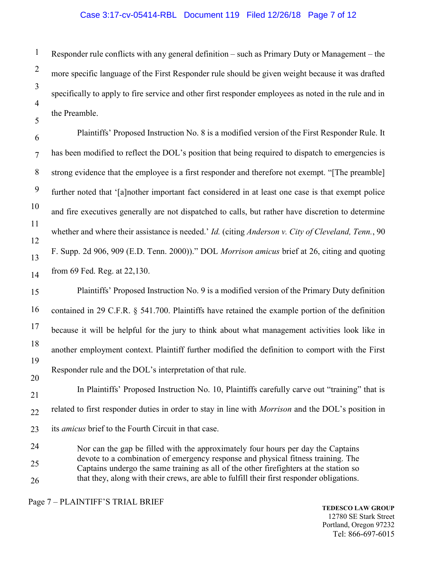## Case 3:17-cv-05414-RBL Document 119 Filed 12/26/18 Page 7 of 12

1 2 3 4 5 Responder rule conflicts with any general definition – such as Primary Duty or Management – the more specific language of the First Responder rule should be given weight because it was drafted specifically to apply to fire service and other first responder employees as noted in the rule and in the Preamble.

6 7 8 9 10 11 12 13 14 Plaintiffs' Proposed Instruction No. 8 is a modified version of the First Responder Rule. It has been modified to reflect the DOL's position that being required to dispatch to emergencies is strong evidence that the employee is a first responder and therefore not exempt. "[The preamble] further noted that '[a]nother important fact considered in at least one case is that exempt police and fire executives generally are not dispatched to calls, but rather have discretion to determine whether and where their assistance is needed.' *Id.* (citing *Anderson v. City of Cleveland, Tenn.*, 90 F. Supp. 2d 906, 909 (E.D. Tenn. 2000))." DOL *Morrison amicus* brief at 26, citing and quoting from 69 Fed. Reg. at 22,130.

15 16 17 18 19 20 Plaintiffs' Proposed Instruction No. 9 is a modified version of the Primary Duty definition contained in 29 C.F.R. § 541.700. Plaintiffs have retained the example portion of the definition because it will be helpful for the jury to think about what management activities look like in another employment context. Plaintiff further modified the definition to comport with the First Responder rule and the DOL's interpretation of that rule.

21 22 23 24 In Plaintiffs' Proposed Instruction No. 10, Plaintiffs carefully carve out "training" that is related to first responder duties in order to stay in line with *Morrison* and the DOL's position in its *amicus* brief to the Fourth Circuit in that case.

25 26 Nor can the gap be filled with the approximately four hours per day the Captains devote to a combination of emergency response and physical fitness training. The Captains undergo the same training as all of the other firefighters at the station so that they, along with their crews, are able to fulfill their first responder obligations.

Page 7 – PLAINTIFF'S TRIAL BRIEF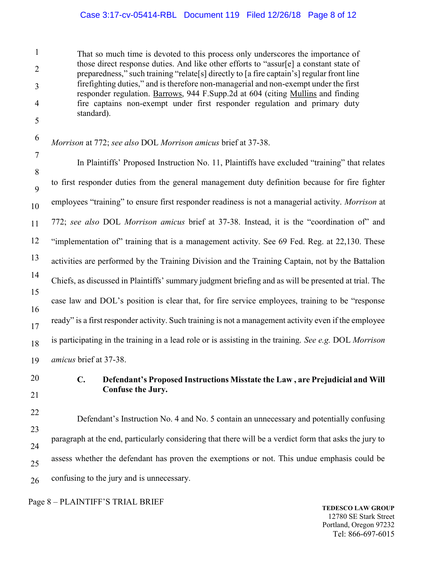## Case 3:17-cv-05414-RBL Document 119 Filed 12/26/18 Page 8 of 12

1 2 3 4 5 That so much time is devoted to this process only underscores the importance of those direct response duties. And like other efforts to "assur[e] a constant state of preparedness," such training "relate[s] directly to [a fire captain's] regular front line firefighting duties," and is therefore non-managerial and non-exempt under the first responder regulation. Barrows, 944 F.Supp.2d at 604 (citing Mullins and finding fire captains non-exempt under first responder regulation and primary duty standard).

6 *Morrison* at 772; *see also* DOL *Morrison amicus* brief at 37-38.

7 8 9 10 11 12 13 14 15 16 17 18 19 In Plaintiffs' Proposed Instruction No. 11, Plaintiffs have excluded "training" that relates to first responder duties from the general management duty definition because for fire fighter employees "training" to ensure first responder readiness is not a managerial activity. *Morrison* at 772; *see also* DOL *Morrison amicus* brief at 37-38. Instead, it is the "coordination of" and "implementation of" training that is a management activity. See 69 Fed. Reg. at 22,130. These activities are performed by the Training Division and the Training Captain, not by the Battalion Chiefs, as discussed in Plaintiffs' summary judgment briefing and as will be presented at trial. The case law and DOL's position is clear that, for fire service employees, training to be "response ready" is a first responder activity. Such training is not a management activity even if the employee is participating in the training in a lead role or is assisting in the training. *See e.g.* DOL *Morrison amicus* brief at 37-38.

20 21

# **C. Defendant's Proposed Instructions Misstate the Law , are Prejudicial and Will Confuse the Jury.**

22 23 24 25 26 Defendant's Instruction No. 4 and No. 5 contain an unnecessary and potentially confusing paragraph at the end, particularly considering that there will be a verdict form that asks the jury to assess whether the defendant has proven the exemptions or not. This undue emphasis could be confusing to the jury and is unnecessary.

Page 8 – PLAINTIFF'S TRIAL BRIEF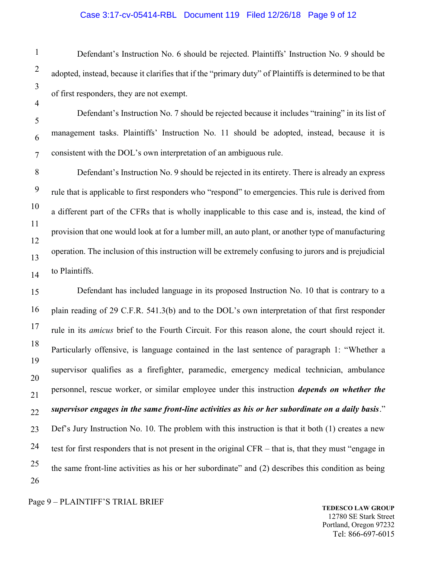# Case 3:17-cv-05414-RBL Document 119 Filed 12/26/18 Page 9 of 12

1 2 3 4 5 6 7 8 9 10 11 12 13 14 15 16 17 18 19 20 21 22 23 24 25 26 Defendant's Instruction No. 6 should be rejected. Plaintiffs' Instruction No. 9 should be adopted, instead, because it clarifies that if the "primary duty" of Plaintiffs is determined to be that of first responders, they are not exempt. Defendant's Instruction No. 7 should be rejected because it includes "training" in its list of management tasks. Plaintiffs' Instruction No. 11 should be adopted, instead, because it is consistent with the DOL's own interpretation of an ambiguous rule. Defendant's Instruction No. 9 should be rejected in its entirety. There is already an express rule that is applicable to first responders who "respond" to emergencies. This rule is derived from a different part of the CFRs that is wholly inapplicable to this case and is, instead, the kind of provision that one would look at for a lumber mill, an auto plant, or another type of manufacturing operation. The inclusion of this instruction will be extremely confusing to jurors and is prejudicial to Plaintiffs. Defendant has included language in its proposed Instruction No. 10 that is contrary to a plain reading of 29 C.F.R. 541.3(b) and to the DOL's own interpretation of that first responder rule in its *amicus* brief to the Fourth Circuit. For this reason alone, the court should reject it. Particularly offensive, is language contained in the last sentence of paragraph 1: "Whether a supervisor qualifies as a firefighter, paramedic, emergency medical technician, ambulance personnel, rescue worker, or similar employee under this instruction *depends on whether the supervisor engages in the same front-line activities as his or her subordinate on a daily basis*." Def's Jury Instruction No. 10. The problem with this instruction is that it both (1) creates a new test for first responders that is not present in the original CFR – that is, that they must "engage in the same front-line activities as his or her subordinate" and (2) describes this condition as being

Page 9 – PLAINTIFF'S TRIAL BRIEF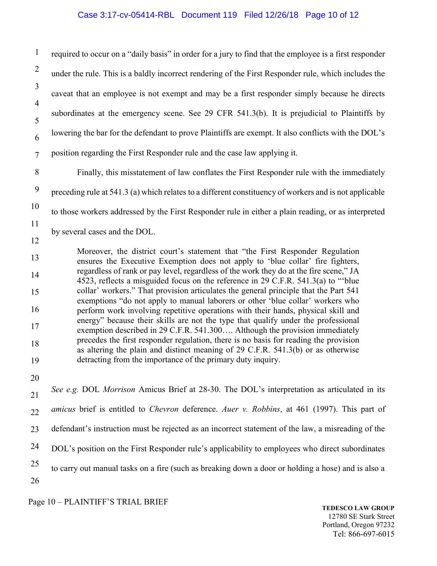#### Case 3:17-cv-05414-RBL Document 119 Filed 12/26/18 Page 10 of 12

1 2 3 4 5 6 7 8 9 10 11 12 13 14 15 16 17 18 19 20 21 22 23 24 25 26 required to occur on a "daily basis" in order for a jury to find that the employee is a first responder under the rule. This is a baldly incorrect rendering of the First Responder rule, which includes the caveat that an employee is not exempt and may be a first responder simply because he directs subordinates at the emergency scene. See 29 CFR 541.3(b). It is prejudicial to Plaintiffs by lowering the bar for the defendant to prove Plaintiffs are exempt. It also conflicts with the DOL's position regarding the First Responder rule and the case law applying it. Finally, this misstatement of law conflates the First Responder rule with the immediately preceding rule at 541.3 (a) which relates to a different constituency of workers and is not applicable to those workers addressed by the First Responder rule in either a plain reading, or as interpreted by several cases and the DOL. Moreover, the district court's statement that "the First Responder Regulation ensures the Executive Exemption does not apply to 'blue collar' fire fighters, regardless of rank or pay level, regardless of the work they do at the fire scene," JA 4523, reflects a misguided focus on the reference in 29 C.F.R. 541.3(a) to "'blue collar' workers." That provision articulates the general principle that the Part 541 exemptions "do not apply to manual laborers or other 'blue collar' workers who perform work involving repetitive operations with their hands, physical skill and energy" because their skills are not the type that qualify under the professional exemption described in 29 C.F.R. 541.300…. Although the provision immediately precedes the first responder regulation, there is no basis for reading the provision as altering the plain and distinct meaning of 29 C.F.R. 541.3(b) or as otherwise detracting from the importance of the primary duty inquiry. *See e.g.* DOL *Morrison* Amicus Brief at 28-30. The DOL's interpretation as articulated in its *amicus* brief is entitled to *Chevron* deference. *Auer v. Robbins*, at 461 (1997). This part of defendant's instruction must be rejected as an incorrect statement of the law, a misreading of the DOL's position on the First Responder rule's applicability to employees who direct subordinates to carry out manual tasks on a fire (such as breaking down a door or holding a hose) and is also a

Page 10 – PLAINTIFF'S TRIAL BRIEF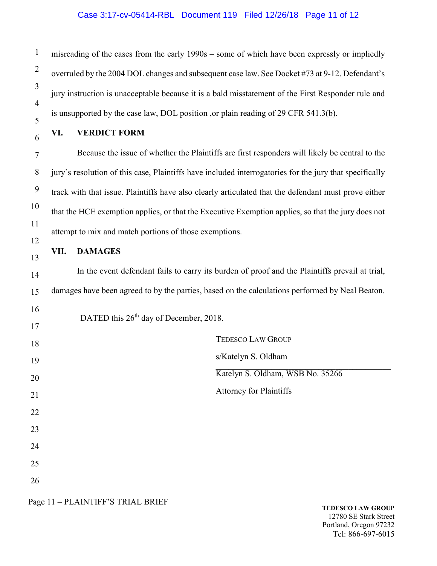# Case 3:17-cv-05414-RBL Document 119 Filed 12/26/18 Page 11 of 12

| $\mathbf{1}$   | misreading of the cases from the early 1990s – some of which have been expressly or impliedly           |  |  |  |  |
|----------------|---------------------------------------------------------------------------------------------------------|--|--|--|--|
| $\overline{2}$ | overruled by the 2004 DOL changes and subsequent case law. See Docket #73 at 9-12. Defendant's          |  |  |  |  |
| $\mathfrak{Z}$ | jury instruction is unacceptable because it is a bald misstatement of the First Responder rule and      |  |  |  |  |
| 4<br>5         | is unsupported by the case law, DOL position, or plain reading of 29 CFR 541.3(b).                      |  |  |  |  |
| 6              | VI.<br><b>VERDICT FORM</b>                                                                              |  |  |  |  |
| $\tau$         | Because the issue of whether the Plaintiffs are first responders will likely be central to the          |  |  |  |  |
| 8              | jury's resolution of this case, Plaintiffs have included interrogatories for the jury that specifically |  |  |  |  |
| 9              | track with that issue. Plaintiffs have also clearly articulated that the defendant must prove either    |  |  |  |  |
| 10             | that the HCE exemption applies, or that the Executive Exemption applies, so that the jury does not      |  |  |  |  |
| 11             | attempt to mix and match portions of those exemptions.                                                  |  |  |  |  |
| 12             | <b>DAMAGES</b><br>VII.                                                                                  |  |  |  |  |
| 13<br>14       | In the event defendant fails to carry its burden of proof and the Plaintiffs prevail at trial,          |  |  |  |  |
| 15             | damages have been agreed to by the parties, based on the calculations performed by Neal Beaton.         |  |  |  |  |
| 16             |                                                                                                         |  |  |  |  |
| 17             | DATED this 26 <sup>th</sup> day of December, 2018.                                                      |  |  |  |  |
| 18             | <b>TEDESCO LAW GROUP</b>                                                                                |  |  |  |  |
| 19             | s/Katelyn S. Oldham                                                                                     |  |  |  |  |
| 20             | Katelyn S. Oldham, WSB No. 35266                                                                        |  |  |  |  |
| 21             | <b>Attorney for Plaintiffs</b>                                                                          |  |  |  |  |
| 22             |                                                                                                         |  |  |  |  |
| 23             |                                                                                                         |  |  |  |  |
| 24             |                                                                                                         |  |  |  |  |
| 25             |                                                                                                         |  |  |  |  |
| 26             |                                                                                                         |  |  |  |  |

Page 11 – PLAINTIFF'S TRIAL BRIEF